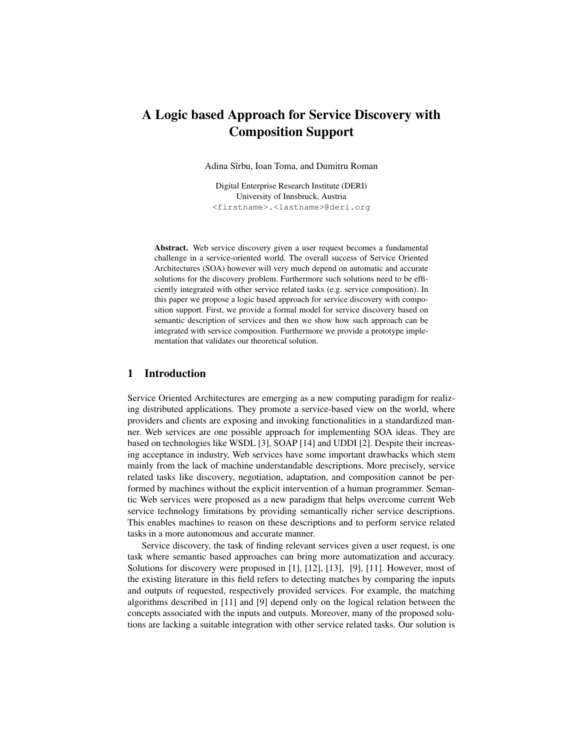# A Logic based Approach for Service Discovery with Composition Support

Adina Sîrbu, Ioan Toma, and Dumitru Roman

Digital Enterprise Research Institute (DERI) University of Innsbruck, Austria <firstname>.<lastname>@deri.org

Abstract. Web service discovery given a user request becomes a fundamental challenge in a service-oriented world. The overall success of Service Oriented Architectures (SOA) however will very much depend on automatic and accurate solutions for the discovery problem. Furthermore such solutions need to be efficiently integrated with other service related tasks (e.g. service composition). In this paper we propose a logic based approach for service discovery with composition support. First, we provide a formal model for service discovery based on semantic description of services and then we show how such approach can be integrated with service composition. Furthermore we provide a prototype implementation that validates our theoretical solution.

## 1 Introduction

Service Oriented Architectures are emerging as a new computing paradigm for realizing distributed applications. They promote a service-based view on the world, where providers and clients are exposing and invoking functionalities in a standardized manner. Web services are one possible approach for implementing SOA ideas. They are based on technologies like WSDL [3], SOAP [14] and UDDI [2]. Despite their increasing acceptance in industry, Web services have some important drawbacks which stem mainly from the lack of machine understandable descriptions. More precisely, service related tasks like discovery, negotiation, adaptation, and composition cannot be performed by machines without the explicit intervention of a human programmer. Semantic Web services were proposed as a new paradigm that helps overcome current Web service technology limitations by providing semantically richer service descriptions. This enables machines to reason on these descriptions and to perform service related tasks in a more autonomous and accurate manner.

Service discovery, the task of finding relevant services given a user request, is one task where semantic based approaches can bring more automatization and accuracy. Solutions for discovery were proposed in [1], [12], [13], [9], [11]. However, most of the existing literature in this field refers to detecting matches by comparing the inputs and outputs of requested, respectively provided services. For example, the matching algorithms described in [11] and [9] depend only on the logical relation between the concepts associated with the inputs and outputs. Moreover, many of the proposed solutions are lacking a suitable integration with other service related tasks. Our solution is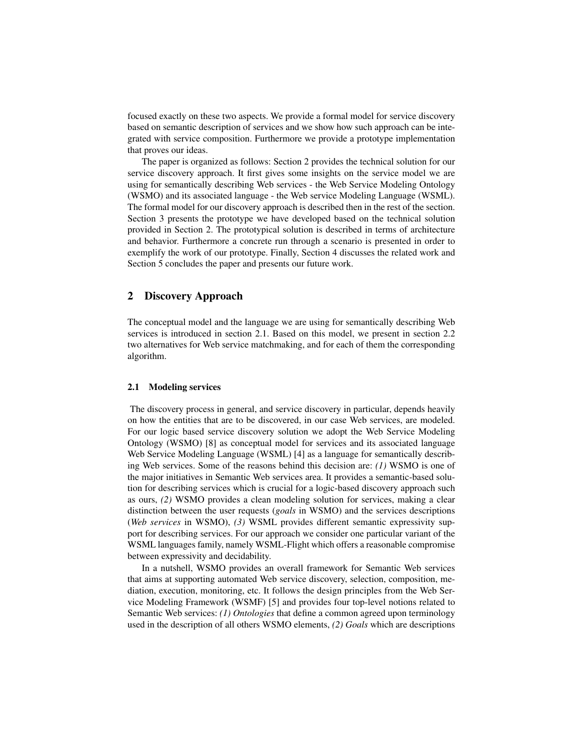focused exactly on these two aspects. We provide a formal model for service discovery based on semantic description of services and we show how such approach can be integrated with service composition. Furthermore we provide a prototype implementation that proves our ideas.

The paper is organized as follows: Section 2 provides the technical solution for our service discovery approach. It first gives some insights on the service model we are using for semantically describing Web services - the Web Service Modeling Ontology (WSMO) and its associated language - the Web service Modeling Language (WSML). The formal model for our discovery approach is described then in the rest of the section. Section 3 presents the prototype we have developed based on the technical solution provided in Section 2. The prototypical solution is described in terms of architecture and behavior. Furthermore a concrete run through a scenario is presented in order to exemplify the work of our prototype. Finally, Section 4 discusses the related work and Section 5 concludes the paper and presents our future work.

# 2 Discovery Approach

The conceptual model and the language we are using for semantically describing Web services is introduced in section 2.1. Based on this model, we present in section 2.2 two alternatives for Web service matchmaking, and for each of them the corresponding algorithm.

### 2.1 Modeling services

The discovery process in general, and service discovery in particular, depends heavily on how the entities that are to be discovered, in our case Web services, are modeled. For our logic based service discovery solution we adopt the Web Service Modeling Ontology (WSMO) [8] as conceptual model for services and its associated language Web Service Modeling Language (WSML) [4] as a language for semantically describing Web services. Some of the reasons behind this decision are: *(1)* WSMO is one of the major initiatives in Semantic Web services area. It provides a semantic-based solution for describing services which is crucial for a logic-based discovery approach such as ours, *(2)* WSMO provides a clean modeling solution for services, making a clear distinction between the user requests (*goals* in WSMO) and the services descriptions (*Web services* in WSMO), *(3)* WSML provides different semantic expressivity support for describing services. For our approach we consider one particular variant of the WSML languages family, namely WSML-Flight which offers a reasonable compromise between expressivity and decidability.

In a nutshell, WSMO provides an overall framework for Semantic Web services that aims at supporting automated Web service discovery, selection, composition, mediation, execution, monitoring, etc. It follows the design principles from the Web Service Modeling Framework (WSMF) [5] and provides four top-level notions related to Semantic Web services: *(1) Ontologies* that define a common agreed upon terminology used in the description of all others WSMO elements, *(2) Goals* which are descriptions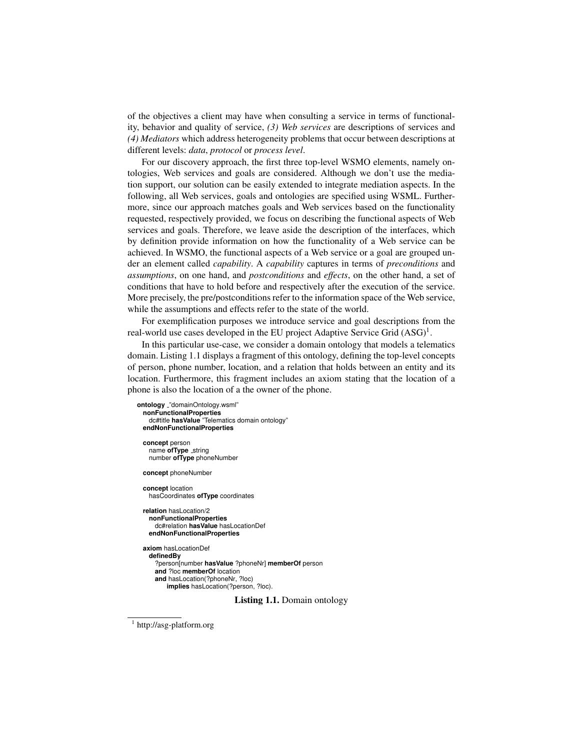of the objectives a client may have when consulting a service in terms of functionality, behavior and quality of service, *(3) Web services* are descriptions of services and *(4) Mediators* which address heterogeneity problems that occur between descriptions at different levels: *data*, *protocol* or *process level*.

For our discovery approach, the first three top-level WSMO elements, namely ontologies, Web services and goals are considered. Although we don't use the mediation support, our solution can be easily extended to integrate mediation aspects. In the following, all Web services, goals and ontologies are specified using WSML. Furthermore, since our approach matches goals and Web services based on the functionality requested, respectively provided, we focus on describing the functional aspects of Web services and goals. Therefore, we leave aside the description of the interfaces, which by definition provide information on how the functionality of a Web service can be achieved. In WSMO, the functional aspects of a Web service or a goal are grouped under an element called *capability*. A *capability* captures in terms of *preconditions* and *assumptions*, on one hand, and *postconditions* and *effects*, on the other hand, a set of conditions that have to hold before and respectively after the execution of the service. More precisely, the pre/postconditions refer to the information space of the Web service, while the assumptions and effects refer to the state of the world.

For exemplification purposes we introduce service and goal descriptions from the real-world use cases developed in the EU project Adaptive Service Grid  $(ASG)^1$ .

In this particular use-case, we consider a domain ontology that models a telematics domain. Listing 1.1 displays a fragment of this ontology, defining the top-level concepts of person, phone number, location, and a relation that holds between an entity and its location. Furthermore, this fragment includes an axiom stating that the location of a phone is also the location of a the owner of the phone.

```
ontology "domainOntology.wsml"
 nonFunctionalProperties
   dc#title hasValue "Telematics domain ontology"
 endNonFunctionalProperties
 concept person
   name ofType string
   number ofType phoneNumber
 concept phoneNumber
 concept location
   hasCoordinates ofType coordinates
 relation hasLocation/2
   nonFunctionalProperties
     dc#relation hasValue hasLocationDef
   endNonFunctionalProperties
 axiom hasLocationDef
   definedBy
     ?person[number hasValue ?phoneNr] memberOf person
     and ?loc memberOf location
     and hasLocation(?phoneNr, ?loc)
        implies hasLocation(?person, ?loc).
                             Listing 1.1. Domain ontology
```
1 http://asg-platform.org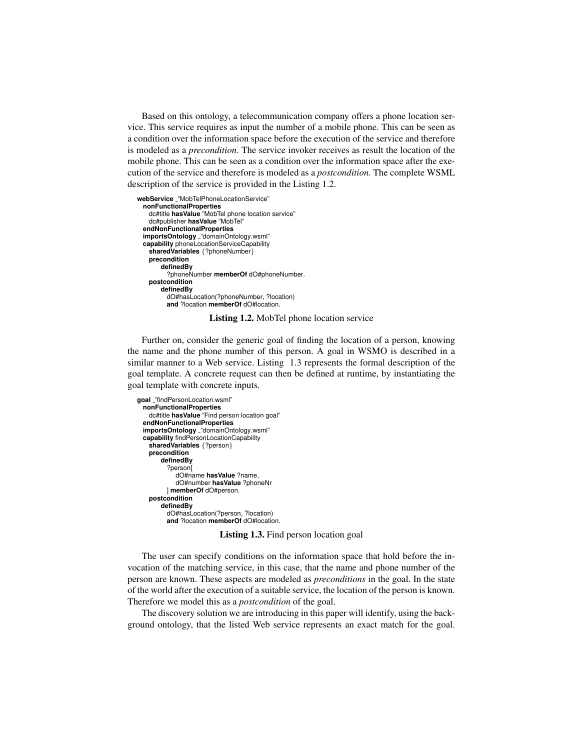Based on this ontology, a telecommunication company offers a phone location service. This service requires as input the number of a mobile phone. This can be seen as a condition over the information space before the execution of the service and therefore is modeled as a *precondition*. The service invoker receives as result the location of the mobile phone. This can be seen as a condition over the information space after the execution of the service and therefore is modeled as a *postcondition*. The complete WSML description of the service is provided in the Listing 1.2.

webService \_"MobTelPhoneLocationService" **nonFunctionalProperties** dc#title **hasValue** "MobTel phone location service" dc#publisher **hasValue** "MobTel" **endNonFunctionalProperties importsOntology** "domainOntology.wsml" **capability** phoneLocationServiceCapability **sharedVariables** {?phoneNumber} **precondition definedBy** ?phoneNumber **memberOf** dO#phoneNumber. **postcondition definedBy** dO#hasLocation(?phoneNumber, ?location) **and** ?location **memberOf** dO#location.

Listing 1.2. MobTel phone location service

Further on, consider the generic goal of finding the location of a person, knowing the name and the phone number of this person. A goal in WSMO is described in a similar manner to a Web service. Listing 1.3 represents the formal description of the goal template. A concrete request can then be defined at runtime, by instantiating the goal template with concrete inputs.

```
goal "findPersonLocation.wsml"
 nonFunctionalProperties
   dc#title hasValue "Find person location goal"
 endNonFunctionalProperties
 importsOntology "domainOntology.wsml"
 capability findPersonLocationCapability
   sharedVariables {?person}
   precondition
       definedBy
         ?person[
           dO#name hasValue ?name,
           dO#number hasValue ?phoneNr
        ] memberOf dO#person.
   postcondition
       definedBy
         dO#hasLocation(?person, ?location)
         and ?location memberOf dO#location.
```
Listing 1.3. Find person location goal

The user can specify conditions on the information space that hold before the invocation of the matching service, in this case, that the name and phone number of the person are known. These aspects are modeled as *preconditions* in the goal. In the state of the world after the execution of a suitable service, the location of the person is known. Therefore we model this as a *postcondition* of the goal.

The discovery solution we are introducing in this paper will identify, using the background ontology, that the listed Web service represents an exact match for the goal.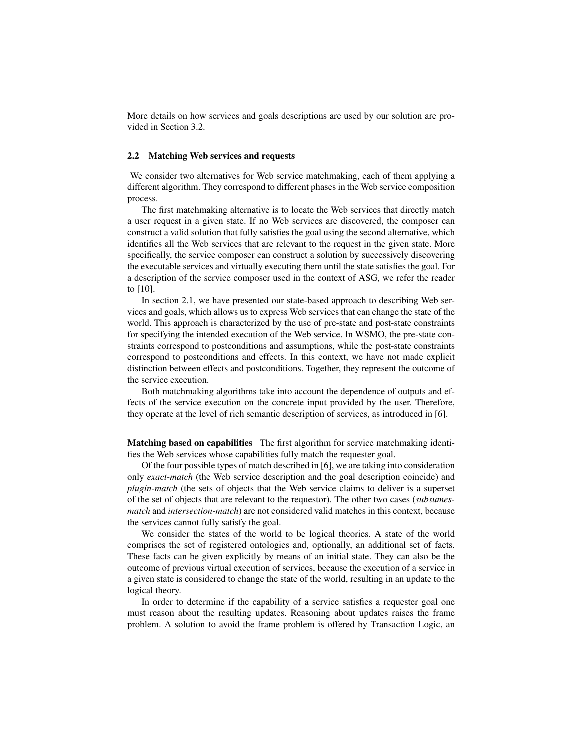More details on how services and goals descriptions are used by our solution are provided in Section 3.2.

### 2.2 Matching Web services and requests

We consider two alternatives for Web service matchmaking, each of them applying a different algorithm. They correspond to different phases in the Web service composition process.

The first matchmaking alternative is to locate the Web services that directly match a user request in a given state. If no Web services are discovered, the composer can construct a valid solution that fully satisfies the goal using the second alternative, which identifies all the Web services that are relevant to the request in the given state. More specifically, the service composer can construct a solution by successively discovering the executable services and virtually executing them until the state satisfies the goal. For a description of the service composer used in the context of ASG, we refer the reader to [10].

In section 2.1, we have presented our state-based approach to describing Web services and goals, which allows us to express Web services that can change the state of the world. This approach is characterized by the use of pre-state and post-state constraints for specifying the intended execution of the Web service. In WSMO, the pre-state constraints correspond to postconditions and assumptions, while the post-state constraints correspond to postconditions and effects. In this context, we have not made explicit distinction between effects and postconditions. Together, they represent the outcome of the service execution.

Both matchmaking algorithms take into account the dependence of outputs and effects of the service execution on the concrete input provided by the user. Therefore, they operate at the level of rich semantic description of services, as introduced in [6].

Matching based on capabilities The first algorithm for service matchmaking identifies the Web services whose capabilities fully match the requester goal.

Of the four possible types of match described in [6], we are taking into consideration only *exact-match* (the Web service description and the goal description coincide) and *plugin-match* (the sets of objects that the Web service claims to deliver is a superset of the set of objects that are relevant to the requestor). The other two cases (*subsumesmatch* and *intersection-match*) are not considered valid matches in this context, because the services cannot fully satisfy the goal.

We consider the states of the world to be logical theories. A state of the world comprises the set of registered ontologies and, optionally, an additional set of facts. These facts can be given explicitly by means of an initial state. They can also be the outcome of previous virtual execution of services, because the execution of a service in a given state is considered to change the state of the world, resulting in an update to the logical theory.

In order to determine if the capability of a service satisfies a requester goal one must reason about the resulting updates. Reasoning about updates raises the frame problem. A solution to avoid the frame problem is offered by Transaction Logic, an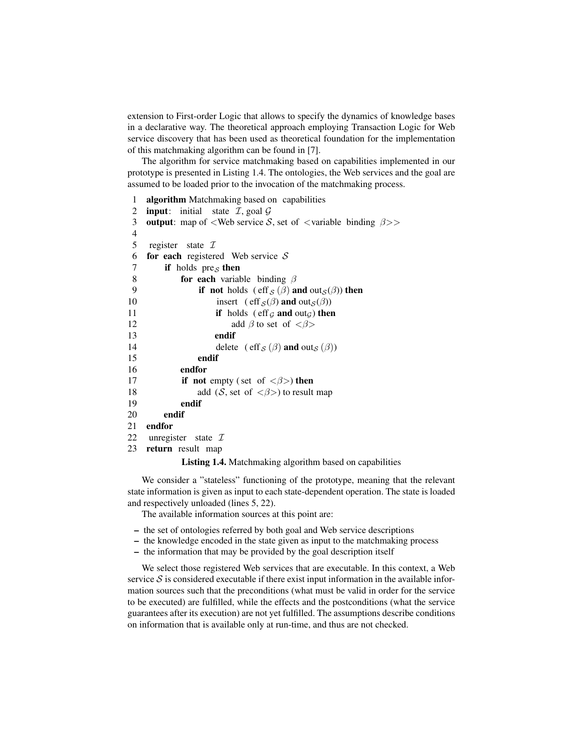extension to First-order Logic that allows to specify the dynamics of knowledge bases in a declarative way. The theoretical approach employing Transaction Logic for Web service discovery that has been used as theoretical foundation for the implementation of this matchmaking algorithm can be found in [7].

The algorithm for service matchmaking based on capabilities implemented in our prototype is presented in Listing 1.4. The ontologies, the Web services and the goal are assumed to be loaded prior to the invocation of the matchmaking process.

```
1 algorithm Matchmaking based on capabilities
 2 input: initial state I, goal G3 output: map of \langle Web service S, set of \langle variable binding \beta \rangle4
 5 register state \mathcal{I}6 for each registered Web service S7 if holds press then
 8 for each variable binding \beta9 if not holds ( eff S(\beta) and outS(\beta)) then
10 insert ( \text{eff}_{\mathcal{S}}(\beta) and \text{out}_{\mathcal{S}}(\beta))
11 if holds (\text{eff}_G and \text{out}_G) then
12 add \beta to set of \langle \beta \rangle13 endif
14 delete ( eff S(\beta) and out S(\beta))
15 endif
16 endfor
17 if not empty (set of \langle \beta \rangle) then
18 add (S, set of \langle \beta \rangle) to result map
19 endif
20 endif
21 endfor
22 unregister state \mathcal{I}23 return result map
```
Listing 1.4. Matchmaking algorithm based on capabilities

We consider a "stateless" functioning of the prototype, meaning that the relevant state information is given as input to each state-dependent operation. The state is loaded and respectively unloaded (lines 5, 22).

The available information sources at this point are:

- the set of ontologies referred by both goal and Web service descriptions
- the knowledge encoded in the state given as input to the matchmaking process
- the information that may be provided by the goal description itself

We select those registered Web services that are executable. In this context, a Web service  $S$  is considered executable if there exist input information in the available information sources such that the preconditions (what must be valid in order for the service to be executed) are fulfilled, while the effects and the postconditions (what the service guarantees after its execution) are not yet fulfilled. The assumptions describe conditions on information that is available only at run-time, and thus are not checked.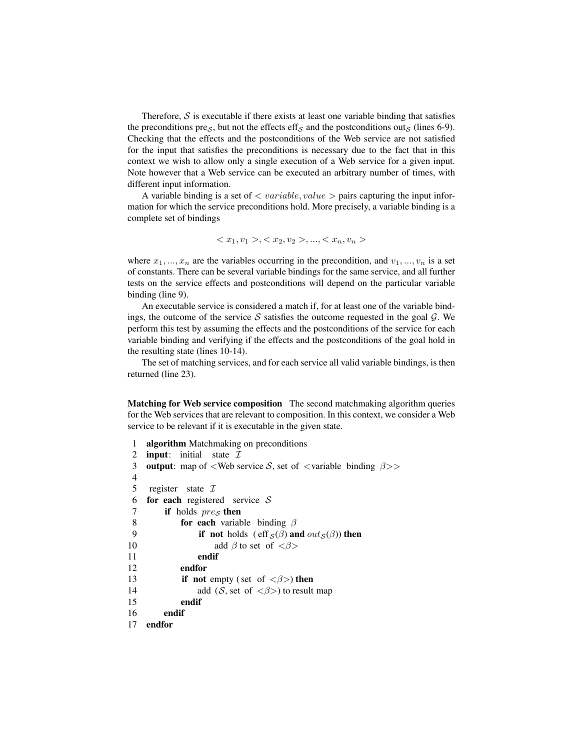Therefore,  $S$  is executable if there exists at least one variable binding that satisfies the preconditions pre $\mathcal{S}$ , but not the effects eff $\mathcal{S}$  and the postconditions out $\mathcal{S}$  (lines 6-9). Checking that the effects and the postconditions of the Web service are not satisfied for the input that satisfies the preconditions is necessary due to the fact that in this context we wish to allow only a single execution of a Web service for a given input. Note however that a Web service can be executed an arbitrary number of times, with different input information.

A variable binding is a set of  $\langle \text{variable}, \text{value} \rangle$  pairs capturing the input information for which the service preconditions hold. More precisely, a variable binding is a complete set of bindings

 $\langle x_1, v_1 \rangle, \langle x_2, v_2 \rangle, \ldots, \langle x_n, v_n \rangle$ 

where  $x_1, ..., x_n$  are the variables occurring in the precondition, and  $v_1, ..., v_n$  is a set of constants. There can be several variable bindings for the same service, and all further tests on the service effects and postconditions will depend on the particular variable binding (line 9).

An executable service is considered a match if, for at least one of the variable bindings, the outcome of the service S satisfies the outcome requested in the goal  $\mathcal{G}$ . We perform this test by assuming the effects and the postconditions of the service for each variable binding and verifying if the effects and the postconditions of the goal hold in the resulting state (lines 10-14).

The set of matching services, and for each service all valid variable bindings, is then returned (line 23).

Matching for Web service composition The second matchmaking algorithm queries for the Web services that are relevant to composition. In this context, we consider a Web service to be relevant if it is executable in the given state.

```
1 algorithm Matchmaking on preconditions
 2 input: initial state \mathcal{I}3 output: map of <Web service S, set of <variable binding \beta>>
 4
 5 register state I
 6 for each registered service S7 if holds pre_S then
 8 for each variable binding \beta9 if not holds ( \text{eff}_{\mathcal{S}}(\beta) and \text{out}_{\mathcal{S}}(\beta)) then
10 add \beta to set of \langle \beta \rangle11 endif
12 endfor
13 if not empty (set of \langle \beta \rangle) then
14 add (S, set of \langle \beta \rangle) to result map
15 endif
16 endif
17 endfor
```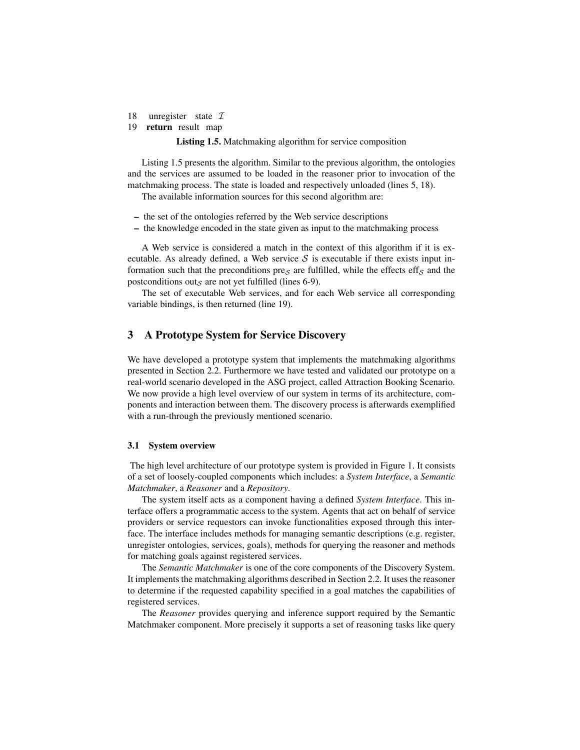- 18 unregister state T
- 19 return result map

Listing 1.5. Matchmaking algorithm for service composition

Listing 1.5 presents the algorithm. Similar to the previous algorithm, the ontologies and the services are assumed to be loaded in the reasoner prior to invocation of the matchmaking process. The state is loaded and respectively unloaded (lines 5, 18).

The available information sources for this second algorithm are:

- the set of the ontologies referred by the Web service descriptions
- the knowledge encoded in the state given as input to the matchmaking process

A Web service is considered a match in the context of this algorithm if it is executable. As already defined, a Web service  $S$  is executable if there exists input information such that the preconditions  $\text{pre}_{\mathcal{S}}$  are fulfilled, while the effects eff<sub> $\mathcal{S}$ </sub> and the postconditions out<sub>S</sub> are not yet fulfilled (lines 6-9).

The set of executable Web services, and for each Web service all corresponding variable bindings, is then returned (line 19).

# 3 A Prototype System for Service Discovery

We have developed a prototype system that implements the matchmaking algorithms presented in Section 2.2. Furthermore we have tested and validated our prototype on a real-world scenario developed in the ASG project, called Attraction Booking Scenario. We now provide a high level overview of our system in terms of its architecture, components and interaction between them. The discovery process is afterwards exemplified with a run-through the previously mentioned scenario.

#### 3.1 System overview

The high level architecture of our prototype system is provided in Figure 1. It consists of a set of loosely-coupled components which includes: a *System Interface*, a *Semantic Matchmaker*, a *Reasoner* and a *Repository*.

The system itself acts as a component having a defined *System Interface*. This interface offers a programmatic access to the system. Agents that act on behalf of service providers or service requestors can invoke functionalities exposed through this interface. The interface includes methods for managing semantic descriptions (e.g. register, unregister ontologies, services, goals), methods for querying the reasoner and methods for matching goals against registered services.

The *Semantic Matchmaker* is one of the core components of the Discovery System. It implements the matchmaking algorithms described in Section 2.2. It uses the reasoner to determine if the requested capability specified in a goal matches the capabilities of registered services.

The *Reasoner* provides querying and inference support required by the Semantic Matchmaker component. More precisely it supports a set of reasoning tasks like query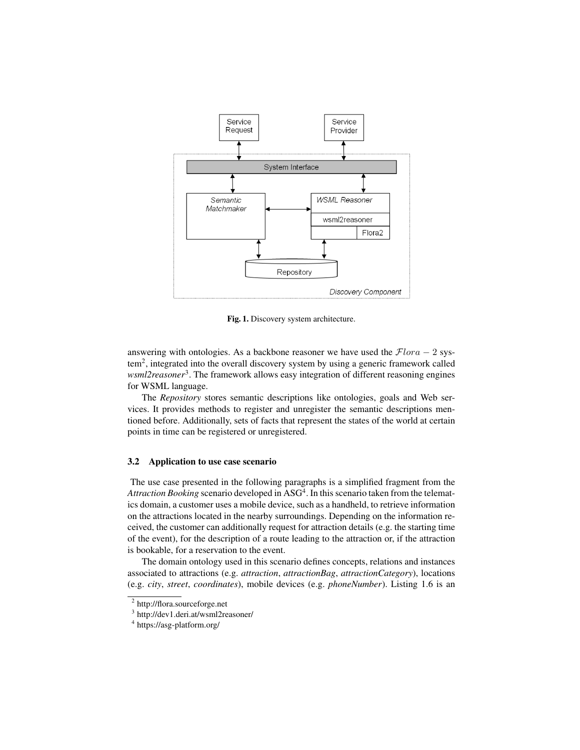

Fig. 1. Discovery system architecture.

answering with ontologies. As a backbone reasoner we have used the  $Flora - 2$  system<sup>2</sup>, integrated into the overall discovery system by using a generic framework called wsml2reasoner<sup>3</sup>. The framework allows easy integration of different reasoning engines for WSML language.

The *Repository* stores semantic descriptions like ontologies, goals and Web services. It provides methods to register and unregister the semantic descriptions mentioned before. Additionally, sets of facts that represent the states of the world at certain points in time can be registered or unregistered.

#### 3.2 Application to use case scenario

The use case presented in the following paragraphs is a simplified fragment from the Attraction Booking scenario developed in ASG<sup>4</sup>. In this scenario taken from the telematics domain, a customer uses a mobile device, such as a handheld, to retrieve information on the attractions located in the nearby surroundings. Depending on the information received, the customer can additionally request for attraction details (e.g. the starting time of the event), for the description of a route leading to the attraction or, if the attraction is bookable, for a reservation to the event.

The domain ontology used in this scenario defines concepts, relations and instances associated to attractions (e.g. *attraction*, *attractionBag*, *attractionCategory*), locations (e.g. *city*, *street*, *coordinates*), mobile devices (e.g. *phoneNumber*). Listing 1.6 is an

<sup>&</sup>lt;sup>2</sup> http://flora.sourceforge.net

<sup>3</sup> http://dev1.deri.at/wsml2reasoner/

<sup>4</sup> https://asg-platform.org/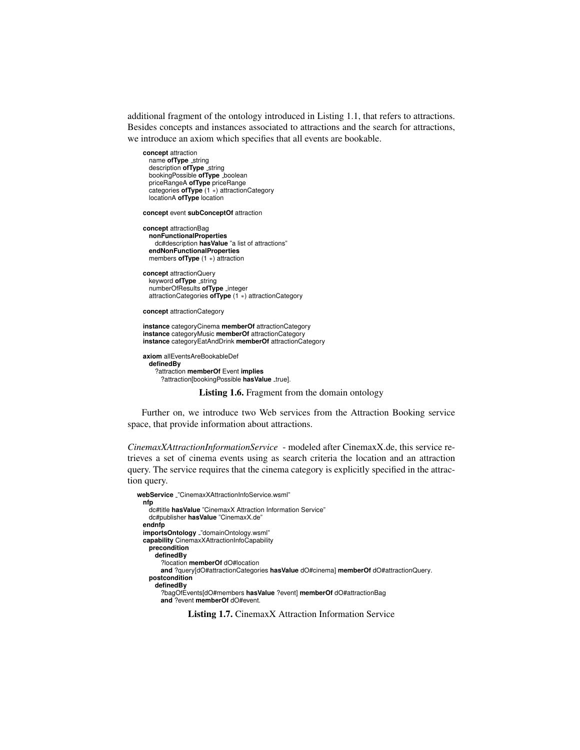additional fragment of the ontology introduced in Listing 1.1, that refers to attractions. Besides concepts and instances associated to attractions and the search for attractions, we introduce an axiom which specifies that all events are bookable.

**concept** attraction name **ofType** string description **ofType** string bookingPossible **ofType** boolean priceRangeA **ofType** priceRange categories **ofType** (1 ∗) attractionCategory locationA **ofType** location

**concept** event **subConceptOf** attraction

**concept** attractionBag **nonFunctionalProperties** dc#description **hasValue** "a list of attractions" **endNonFunctionalProperties** members **ofType** (1 ∗) attraction

**concept** attractionQuery keyword **ofType** string numberOfResults **ofType** integer attractionCategories **ofType** (1 ∗) attractionCategory

**concept** attractionCategory

**instance** categoryCinema **memberOf** attractionCategory **instance** categoryMusic **memberOf** attractionCategory **instance** categoryEatAndDrink **memberOf** attractionCategory

```
axiom allEventsAreBookableDef
  definedBy
    ?attraction memberOf Event implies
     ?attraction[bookingPossible hasValue _true].
```
Listing 1.6. Fragment from the domain ontology

Further on, we introduce two Web services from the Attraction Booking service space, that provide information about attractions.

*CinemaxXAttractionInformationService* - modeled after CinemaxX.de, this service retrieves a set of cinema events using as search criteria the location and an attraction query. The service requires that the cinema category is explicitly specified in the attraction query.

```
webService "CinemaxXAttractionInfoService.wsml"
 nfp
   dc#title hasValue "CinemaxX Attraction Information Service"
   dc#publisher hasValue "CinemaxX.de"
 endnfp
 importsOntology "domainOntology.wsml"
 capability CinemaxXAttractionInfoCapability
   precondition
     definedBy
       ?location memberOf dO#location
       and ?query[dO#attractionCategories hasValue dO#cinema] memberOf dO#attractionQuery.
   postcondition
     definedBy
       ?bagOfEvents[dO#members hasValue ?event] memberOf dO#attractionBag
       and ?event memberOf dO#event.
```
Listing 1.7. CinemaxX Attraction Information Service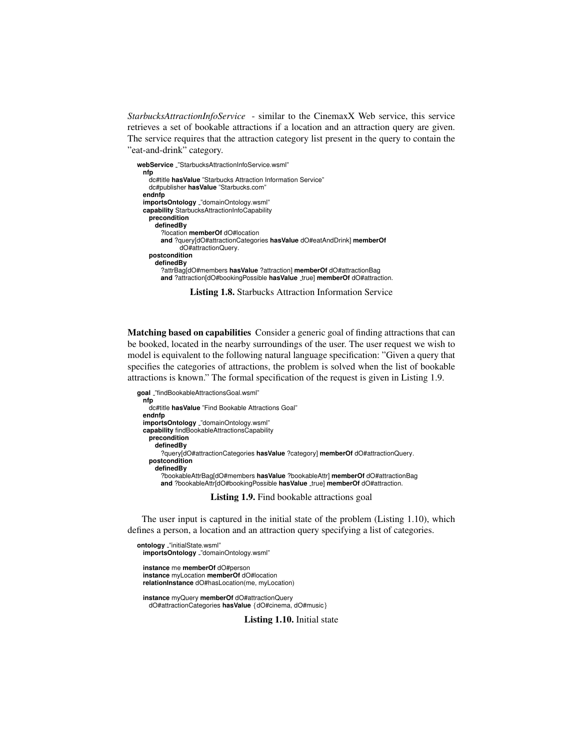*StarbucksAttractionInfoService* - similar to the CinemaxX Web service, this service retrieves a set of bookable attractions if a location and an attraction query are given. The service requires that the attraction category list present in the query to contain the "eat-and-drink" category.

**webService** "StarbucksAttractionInfoService.wsml" **nfp** dc#title **hasValue** "Starbucks Attraction Information Service" dc#publisher **hasValue** "Starbucks.com" **endnfp importsOntology** "domainOntology.wsml" **capability** StarbucksAttractionInfoCapability **precondition definedBy** ?location **memberOf** dO#location **and** ?query[dO#attractionCategories **hasValue** dO#eatAndDrink] **memberOf** dO#attractionQuery. **postcondition definedBy** ?attrBag[dO#members **hasValue** ?attraction] **memberOf** dO#attractionBag and ?attraction[dO#bookingPossible hasValue \_true] memberOf dO#attraction.

Listing 1.8. Starbucks Attraction Information Service

Matching based on capabilities Consider a generic goal of finding attractions that can be booked, located in the nearby surroundings of the user. The user request we wish to model is equivalent to the following natural language specification: "Given a query that specifies the categories of attractions, the problem is solved when the list of bookable attractions is known." The formal specification of the request is given in Listing 1.9.

```
goal "findBookableAttractionsGoal.wsml"
 nfp
   dc#title hasValue "Find Bookable Attractions Goal"
 endnfp
 importsOntology "domainOntology.wsml"
 capability findBookableAttractionsCapability
   precondition
     definedBy
       ?query[dO#attractionCategories hasValue ?category] memberOf dO#attractionQuery.
   postcondition
     definedBy
       ?bookableAttrBag[dO#members hasValue ?bookableAttr] memberOf dO#attractionBag
       and ?bookableAttr[dO#bookingPossible hasValue true] memberOf dO#attraction.
```
Listing 1.9. Find bookable attractions goal

The user input is captured in the initial state of the problem (Listing 1.10), which defines a person, a location and an attraction query specifying a list of categories.

**ontology** "initialState.wsml" **importsOntology** "domainOntology.wsml" **instance** me **memberOf** dO#person **instance** myLocation **memberOf** dO#location **relationInstance** dO#hasLocation(me, myLocation)

**instance** myQuery **memberOf** dO#attractionQuery dO#attractionCategories **hasValue** {dO#cinema, dO#music}

Listing 1.10. Initial state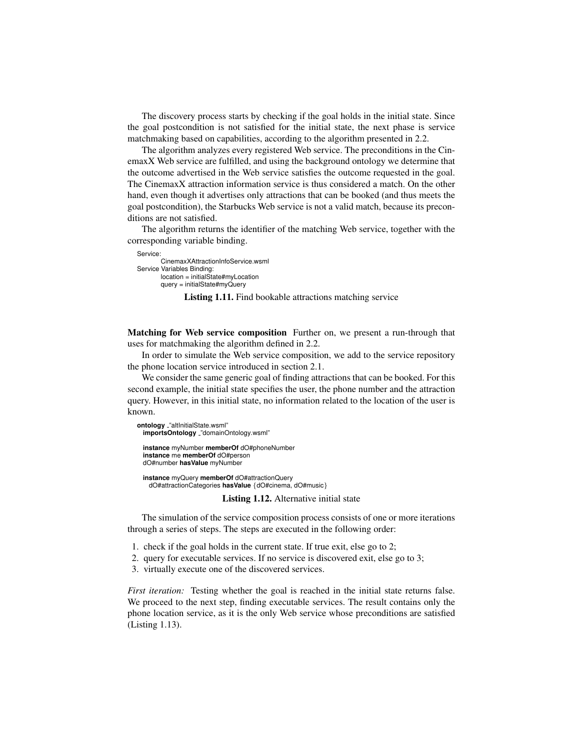The discovery process starts by checking if the goal holds in the initial state. Since the goal postcondition is not satisfied for the initial state, the next phase is service matchmaking based on capabilities, according to the algorithm presented in 2.2.

The algorithm analyzes every registered Web service. The preconditions in the CinemaxX Web service are fulfilled, and using the background ontology we determine that the outcome advertised in the Web service satisfies the outcome requested in the goal. The CinemaxX attraction information service is thus considered a match. On the other hand, even though it advertises only attractions that can be booked (and thus meets the goal postcondition), the Starbucks Web service is not a valid match, because its preconditions are not satisfied.

The algorithm returns the identifier of the matching Web service, together with the corresponding variable binding.

Service: CinemaxXAttractionInfoService.wsml Service Variables Binding: location = initialState#myLocation query = initialState#myQuery

Listing 1.11. Find bookable attractions matching service

Matching for Web service composition Further on, we present a run-through that uses for matchmaking the algorithm defined in 2.2.

In order to simulate the Web service composition, we add to the service repository the phone location service introduced in section 2.1.

We consider the same generic goal of finding attractions that can be booked. For this second example, the initial state specifies the user, the phone number and the attraction query. However, in this initial state, no information related to the location of the user is known.

```
ontology "altInitialState.wsml"
 importsOntology "domainOntology.wsml"
 instance myNumber memberOf dO#phoneNumber
 instance me memberOf dO#person
 dO#number hasValue myNumber
 instance myQuery memberOf dO#attractionQuery
   dO#attractionCategories hasValue {dO#cinema, dO#music}
```
Listing 1.12. Alternative initial state

The simulation of the service composition process consists of one or more iterations through a series of steps. The steps are executed in the following order:

- 1. check if the goal holds in the current state. If true exit, else go to 2;
- 2. query for executable services. If no service is discovered exit, else go to 3;
- 3. virtually execute one of the discovered services.

*First iteration:* Testing whether the goal is reached in the initial state returns false. We proceed to the next step, finding executable services. The result contains only the phone location service, as it is the only Web service whose preconditions are satisfied (Listing 1.13).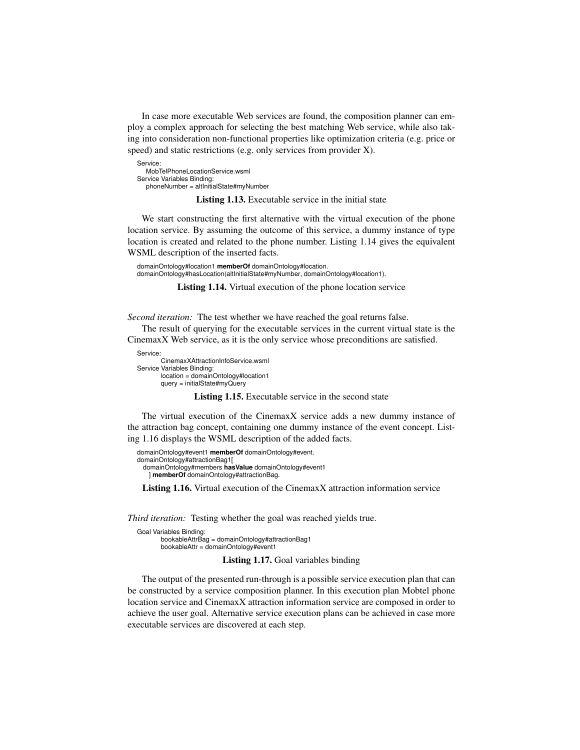In case more executable Web services are found, the composition planner can employ a complex approach for selecting the best matching Web service, while also taking into consideration non-functional properties like optimization criteria (e.g. price or speed) and static restrictions (e.g. only services from provider X).

**Service** MobTelPhoneLocationService.wsml Service Variables Binding: phoneNumber = altInitialState#myNumber

Listing 1.13. Executable service in the initial state

We start constructing the first alternative with the virtual execution of the phone location service. By assuming the outcome of this service, a dummy instance of type location is created and related to the phone number. Listing 1.14 gives the equivalent WSML description of the inserted facts.

domainOntology#location1 **memberOf** domainOntology#location. domainOntology#hasLocation(altInitialState#myNumber, domainOntology#location1).

Listing 1.14. Virtual execution of the phone location service

*Second iteration:* The test whether we have reached the goal returns false.

The result of querying for the executable services in the current virtual state is the CinemaxX Web service, as it is the only service whose preconditions are satisfied.

**Service** CinemaxXAttractionInfoService.wsml Service Variables Binding: location = domainOntology#location1 query = initialState#myQuery

Listing 1.15. Executable service in the second state

The virtual execution of the CinemaxX service adds a new dummy instance of the attraction bag concept, containing one dummy instance of the event concept. Listing 1.16 displays the WSML description of the added facts.

domainOntology#event1 **memberOf** domainOntology#event. domainOntology#attractionBag1[ domainOntology#members **hasValue** domainOntology#event1 ] **memberOf** domainOntology#attractionBag.

Listing 1.16. Virtual execution of the CinemaxX attraction information service

*Third iteration:* Testing whether the goal was reached yields true.

Goal Variables Binding: bookableAttrBag = domainOntology#attractionBag1 bookableAttr = domainOntology#event1

Listing 1.17. Goal variables binding

The output of the presented run-through is a possible service execution plan that can be constructed by a service composition planner. In this execution plan Mobtel phone location service and CinemaxX attraction information service are composed in order to achieve the user goal. Alternative service execution plans can be achieved in case more executable services are discovered at each step.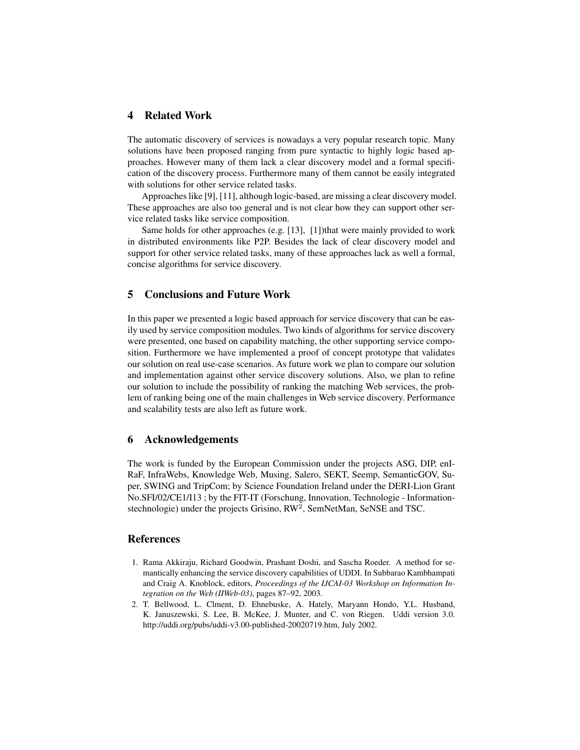# 4 Related Work

The automatic discovery of services is nowadays a very popular research topic. Many solutions have been proposed ranging from pure syntactic to highly logic based approaches. However many of them lack a clear discovery model and a formal specification of the discovery process. Furthermore many of them cannot be easily integrated with solutions for other service related tasks.

Approaches like [9], [11], although logic-based, are missing a clear discovery model. These approaches are also too general and is not clear how they can support other service related tasks like service composition.

Same holds for other approaches (e.g. [13], [1])that were mainly provided to work in distributed environments like P2P. Besides the lack of clear discovery model and support for other service related tasks, many of these approaches lack as well a formal, concise algorithms for service discovery.

# 5 Conclusions and Future Work

In this paper we presented a logic based approach for service discovery that can be easily used by service composition modules. Two kinds of algorithms for service discovery were presented, one based on capability matching, the other supporting service composition. Furthermore we have implemented a proof of concept prototype that validates our solution on real use-case scenarios. As future work we plan to compare our solution and implementation against other service discovery solutions. Also, we plan to refine our solution to include the possibility of ranking the matching Web services, the problem of ranking being one of the main challenges in Web service discovery. Performance and scalability tests are also left as future work.

### 6 Acknowledgements

The work is funded by the European Commission under the projects ASG, DIP, enI-RaF, InfraWebs, Knowledge Web, Musing, Salero, SEKT, Seemp, SemanticGOV, Super, SWING and TripCom; by Science Foundation Ireland under the DERI-Lion Grant No.SFI/02/CE1/I13 ; by the FIT-IT (Forschung, Innovation, Technologie - Informationstechnologie) under the projects Grisino, RW<sup>2</sup>, SemNetMan, SeNSE and TSC.

## **References**

- 1. Rama Akkiraju, Richard Goodwin, Prashant Doshi, and Sascha Roeder. A method for semantically enhancing the service discovery capabilities of UDDI. In Subbarao Kambhampati and Craig A. Knoblock, editors, *Proceedings of the IJCAI-03 Workshop on Information Integration on the Web (IIWeb-03)*, pages 87–92, 2003.
- 2. T. Bellwood, L. Clment, D. Ehnebuske, A. Hately, Maryann Hondo, Y.L. Husband, K. Januszewski, S. Lee, B. McKee, J. Munter, and C. von Riegen. Uddi version 3.0. http://uddi.org/pubs/uddi-v3.00-published-20020719.htm, July 2002.